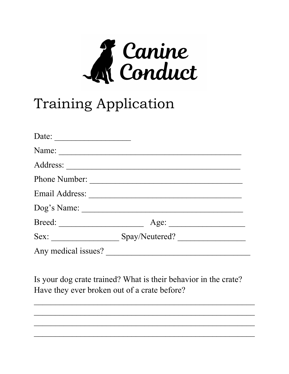

## **Training Application**

| Date:                |                |  |
|----------------------|----------------|--|
| Name:                |                |  |
| Address:             |                |  |
| <b>Phone Number:</b> |                |  |
| Email Address:       |                |  |
| Dog's Name:          |                |  |
|                      | Age:           |  |
| Sex:                 | Spay/Neutered? |  |
| Any medical issues?  |                |  |

Is your dog crate trained? What is their behavior in the crate? Have they ever broken out of a crate before?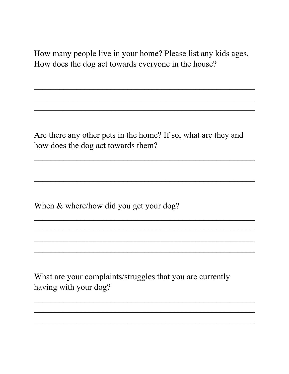How many people live in your home? Please list any kids ages. How does the dog act towards everyone in the house?

Are there any other pets in the home? If so, what are they and how does the dog act towards them?

When & where/how did you get your dog?

What are your complaints/struggles that you are currently having with your dog?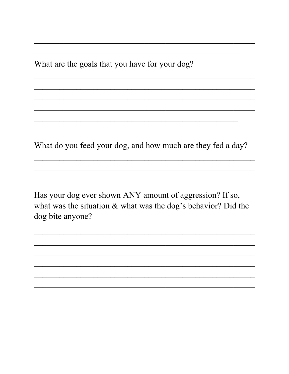What are the goals that you have for your dog?

What do you feed your dog, and how much are they fed a day?

Has your dog ever shown ANY amount of aggression? If so, what was the situation & what was the dog's behavior? Did the dog bite anyone?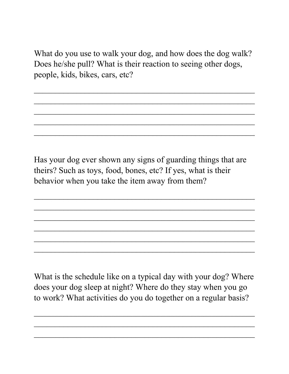What do you use to walk your dog, and how does the dog walk? Does he/she pull? What is their reaction to seeing other dogs, people, kids, bikes, cars, etc?

 $\mathcal{L}_\text{G}$  , and the contribution of the contribution of the contribution of the contribution of the contribution of the contribution of the contribution of the contribution of the contribution of the contribution of t

\_\_\_\_\_\_\_\_\_\_\_\_\_\_\_\_\_\_\_\_\_\_\_\_\_\_\_\_\_\_\_\_\_\_\_\_\_\_\_\_\_\_\_\_\_\_\_\_\_\_\_\_

 $\mathcal{L}_\text{G}$  , and the contribution of the contribution of the contribution of the contribution of the contribution of the contribution of the contribution of the contribution of the contribution of the contribution of t

\_\_\_\_\_\_\_\_\_\_\_\_\_\_\_\_\_\_\_\_\_\_\_\_\_\_\_\_\_\_\_\_\_\_\_\_\_\_\_\_\_\_\_\_\_\_\_\_\_\_\_\_

\_\_\_\_\_\_\_\_\_\_\_\_\_\_\_\_\_\_\_\_\_\_\_\_\_\_\_\_\_\_\_\_\_\_\_\_\_\_\_\_\_\_\_\_\_\_\_\_\_\_\_\_

Has your dog ever shown any signs of guarding things that are theirs? Such as toys, food, bones, etc? If yes, what is their behavior when you take the item away from them?

 $\mathcal{L}_\text{G}$  , and the contribution of the contribution of the contribution of the contribution of the contribution of the contribution of the contribution of the contribution of the contribution of the contribution of t

\_\_\_\_\_\_\_\_\_\_\_\_\_\_\_\_\_\_\_\_\_\_\_\_\_\_\_\_\_\_\_\_\_\_\_\_\_\_\_\_\_\_\_\_\_\_\_\_\_\_\_\_

 $\mathcal{L}_\text{G}$  , and the contribution of the contribution of the contribution of the contribution of the contribution of the contribution of the contribution of the contribution of the contribution of the contribution of t

 $\mathcal{L}_\text{G}$  , and the contribution of the contribution of the contribution of the contribution of the contribution of the contribution of the contribution of the contribution of the contribution of the contribution of t

\_\_\_\_\_\_\_\_\_\_\_\_\_\_\_\_\_\_\_\_\_\_\_\_\_\_\_\_\_\_\_\_\_\_\_\_\_\_\_\_\_\_\_\_\_\_\_\_\_\_\_\_

\_\_\_\_\_\_\_\_\_\_\_\_\_\_\_\_\_\_\_\_\_\_\_\_\_\_\_\_\_\_\_\_\_\_\_\_\_\_\_\_\_\_\_\_\_\_\_\_\_\_\_\_

What is the schedule like on a typical day with your dog? Where does your dog sleep at night? Where do they stay when you go to work? What activities do you do together on a regular basis?

 $\mathcal{L}_\text{G}$  , and the contribution of the contribution of the contribution of the contribution of the contribution of the contribution of the contribution of the contribution of the contribution of the contribution of t

\_\_\_\_\_\_\_\_\_\_\_\_\_\_\_\_\_\_\_\_\_\_\_\_\_\_\_\_\_\_\_\_\_\_\_\_\_\_\_\_\_\_\_\_\_\_\_\_\_\_\_\_

\_\_\_\_\_\_\_\_\_\_\_\_\_\_\_\_\_\_\_\_\_\_\_\_\_\_\_\_\_\_\_\_\_\_\_\_\_\_\_\_\_\_\_\_\_\_\_\_\_\_\_\_